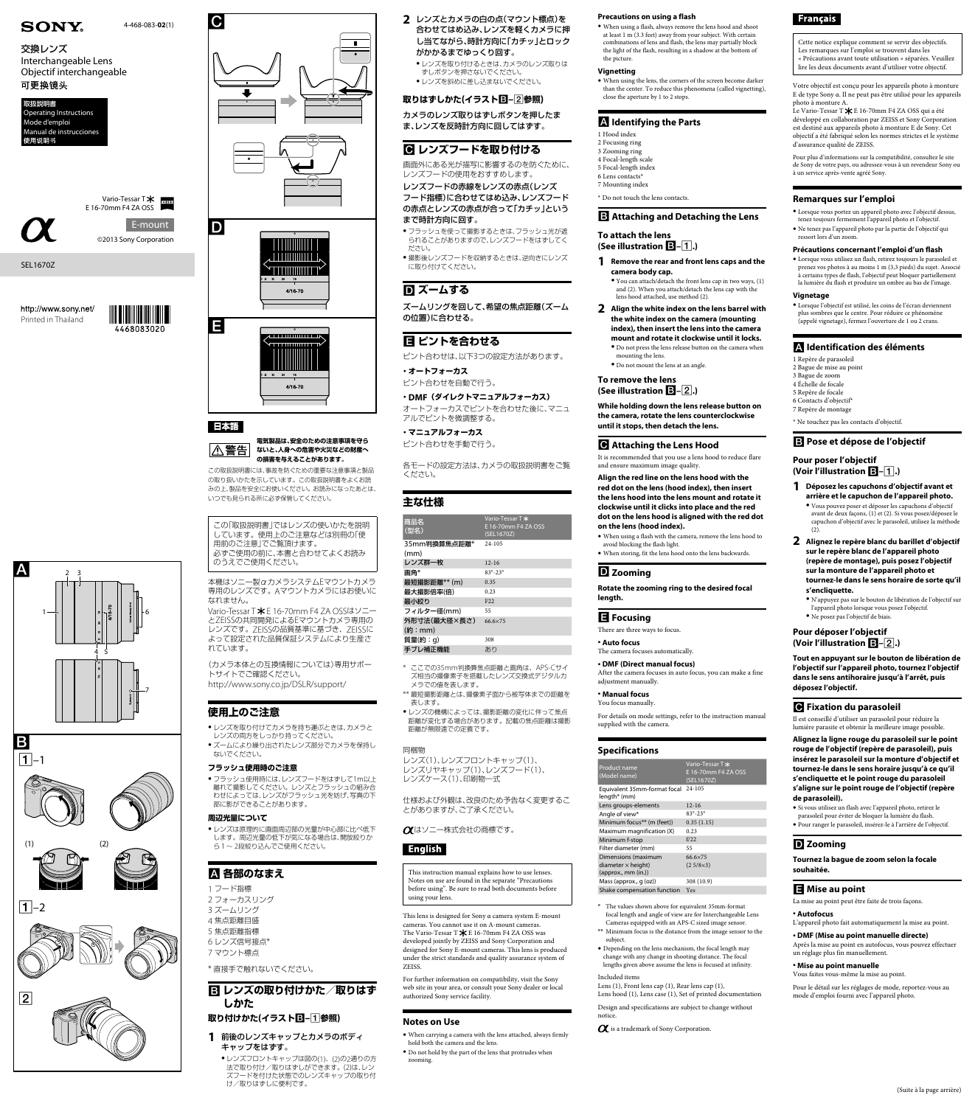

 $\sqrt{2}$ 

 $\sqrt{1}$ –2









## 日本語

Е

#### **電気製品は、安全のための注意事項を守ら** △警告 **ないと、人身への危害や火災などの財産へ の損害を与えることがあります。**

この取扱説明書には、事故を防ぐための重要な注意事項と製品 の取り扱いかたを示しています。この取扱説明書をよくお読 みの上、製品を安全にお使いください。お読みになったあとは、 いつでも見られる所に必ず保管してください。

Vario-Tessar T \* E 16-70mm F4 ZA OSSはソニー とZEISSの共同開発によるEマウントカメラ専用の レンズです。ZEISSの品質基準に基づき、ZEISSに よって設定された品質保証システムにより生産さ れています。

この「取扱説明書」ではレンズの使いかたを説明 しています。使用上のご注意などは別冊の「使 用前のご注意」でご覧頂けます。 必ずご使用の前に、本書と合わせてよくお読み のうえでご使用ください。

- ●レンズを取り付けてカメラを持ち運ぶときは、カメラと
- レンズの両方をしっかり持ってください。 ●ズームにより繰り出されたレンズ部分でカメラを保持し ないでください。

本機はソニー製αカメラシステムEマウントカメラ 専用のレンズです。Aマウントカメラにはお使いに なれません。

(カメラ本体との互換情報については)専用サポー トサイトでご確認ください。

http://www.sony.co.jp/DSLR/support/

● レンズフロントキャップは図の(1)、(2)の2通りの方 法で取り付け/取りはずしができます。(2)は、レン ズフードを付けた状態でのレンズキャップの取り付 け/取りはずしに便利です。

- **2** レンズとカメラの白の点(マウント標点)を 合わせてはめ込み、レンズを軽くカメラに押 し当てながら、時計方向に「カチッ」とロック がかかるまでゆっくり回す。
- ˎ レンズを取り付けるときは、カメラのレンズ取りは ずしボタンを押さないでください。
- レンズを斜めに差し込まないでください。



## **使用上のご注意**

## **フラッシュ使用時のご注意**

ˎ フラッシュ使用時には、レンズフードをはずして1m以上 離れて撮影してください。レンズとフラッシュの組み合 わせによっては、レンズがフラッシュ光を妨げ、写真の下 部に影ができることがあります。

#### **周辺光量について**

●撮影後レンズフードを収納するときは、逆向きにレンズ に取り付けてください。

ˎ レンズは原理的に画面周辺部の光量が中心部に比べ低下

します。周辺光量の低下が気になる場合は、開放絞りか ら1~ 2段絞り込んでご使用ください。

## **各部のなまえ**

1 フード指標 2 フォーカスリング 3 ズームリング 4 焦点距離目盛 5 焦点距離指標 6 レンズ信号接点\* 7 マウント標点

\* 直接手で触れないでください。

 **レンズの取り付けかた/取りはず しかた 取り付けかた(イラスト–参照)**

**1** 前後のレンズキャップとカメラのボディ キャップをはずす。

## **取りはずしかた(イラスト–参照)**

カメラのレンズ取りはずしボタンを押したま ま、レンズを反時計方向に回してはずす。

## **レンズフードを取り付ける**

画面外にある光が描写に影響するのを防ぐために、 レンズフードの使用をおすすめします。

- レンズフードの赤線をレンズの赤点(レンズ フード指標)に合わせてはめ込み、レンズフード
- の赤点とレンズの赤点が合って「カチッ」という まで時計方向に回す。
- フラッシュを使って撮影するときは、フラッシュ光が遮 られることがありますので、レンズフードをはずしてく ださい。

## **ズームする**

ズームリングを回して、希望の焦点距離(ズーム の位置)に合わせる。

## **日 ピントを合わせる**

ピント合わせは、以下3つの設定方法があります。

**・オートフォーカス** ピント合わせを自動で行う。

**・DMF(ダイレクトマニュアルフォーカス)** オートフォーカスでピントを合わせた後に、マニュ アルでピントを微調整する。

 $\bullet$  When using a flash, always remove the lens hood and shoot at least 1 m (3.3 feet) away from your subject. With certain combinations of lens and flash, the lens may partially block the light of the flash, resulting in a shadow at the bottom of the picture.

#### **・マニュアルフォーカス** ピント合わせを手動で行う。

各モードの設定方法は、カメラの取扱説明書をご覧 ください。

## **主な仕様**

| 商品名<br>(型名)          | Vario-Tessar T*<br>E 16-70mm F4 ZA OSS<br>(SEL1670Z) |
|----------------------|------------------------------------------------------|
| 35mm判換算焦点距離*<br>(mm) | $24 - 105$                                           |
| レンズ群一枚               | $12 - 16$                                            |
| 画角*                  | $83^{\circ} - 23^{\circ}$                            |
| 最短撮影距離** (m)         | 0.35                                                 |
| 最大撮影倍率(倍)            | 0.23                                                 |
| 最小絞り                 | F <sub>22</sub>                                      |
| フィルター径(mm)           | 55                                                   |
| 外形寸法(最大径×長さ)         | 66.6×75                                              |
| (約:mm)               |                                                      |
| 質量(約:g)              | 308                                                  |
| 手ブレ補正機能              | あり                                                   |

- \* ここでの35mm判換算焦点距離と画角は、APS-Cサイ ズ相当の撮像素子を搭載したレンズ交換式デジタルカ メラでの値を表します。
- \*\* 最短撮影距離とは、撮像素子面から被写体までの距離を 表します。
- レンズの機構によっては、撮影距離の変化に伴って焦点 距離が変化する場合があります。記載の焦点距離は撮影 距離が無限遠での定義です。

#### 同梱物

レンズ(1)、レンズフロントキャップ(1)、 レンズリヤキャップ(1)、レンズフード(1)、 レンズケース(1)、印刷物一式

仕様および外観は、改良のため予告なく変更するこ とがありますが、ご了承ください。

## はソニー株式会社の商標です。

This instruction manual explains how to use lenses. Notes on use are found in the separate "Precautions before using". Be sure to read both documents before using your lens.

This lens is designed for Sony α camera system E-mount cameras. You cannot use it on A-mount cameras. The Vario-Tessar T $\bigstar \to$  16-70mm F4 ZA OSS was developed jointly by ZEISS and Sony Corporation and designed for Sony E-mount cameras. This lens is produced under the strict standards and quality assurance system of ZEISS.

For details on mode settings, refer to the instruction manual supplied with the camera.

For further information on compatibility, visit the Sony web site in your area, or consult your Sony dealer or local authorized Sony service facility.

## **Notes on Use**

- ˎ When carrying a camera with the lens attached, always firmly hold both the camera and the lens.
- ˎ Do not hold by the part of the lens that protrudes when zooming.

#### **Precautions on using a flash**

# **SONY**

## 交換レンズ Interchangeable Lens Objectif interchangeable 可更换镜头

http://www.sony.net/ Printed in Thailand



#### **Vignetting**

ˎ When using the lens, the corners of the screen become darker than the center. To reduce this phenomena (called vignetting), close the aperture by 1 to 2 stops.

## **Identifying the Parts**

1 Hood index 2 Focusing ring 3 Zooming ring 4 Focal-length scale 5 Focal-length index 6 Lens contacts\* 7 Mounting index

Le Vario-Tessar T  $\bigstar$  E 16-70mm F4 ZA OSS qui a été développé en collaboration par ZEISS et Sony Corporation est destiné aux appareils photo à monture E de Sony. Cet objectif a été fabriqué selon les normes strictes et le système d'assurance qualité de ZEISS.

\* Do not touch the lens contacts.

#### **B** Attaching and Detaching the Lens

**To attach the lens (See illustration –.)**

**1 Remove the rear and front lens caps and the camera body cap.**

ˎ You can attach/detach the front lens cap in two ways, (1) and (2). When you attach/detach the lens cap with the lens hood attached, use method (2).

- **2 Align the white index on the lens barrel with the white index on the camera (mounting index), then insert the lens into the camera mount and rotate it clockwise until it locks.**  $\bullet$  Do not press the lens release button on the camera when mounting the lens.
	- ˎ Do not mount the lens at an angle.

#### **To remove the lens (See illustration –.)**

**While holding down the lens release button on the camera, rotate the lens counterclockwise until it stops, then detach the lens.**

## **Attaching the Lens Hood**

It is recommended that you use a lens hood to reduce flare and ensure maximum image quality.

**Align the red line on the lens hood with the red dot on the lens (hood index), then insert the lens hood into the lens mount and rotate it clockwise until it clicks into place and the red dot on the lens hood is aligned with the red dot on the lens (hood index).**

ˎ When using a flash with the camera, remove the lens hood to avoid blocking the flash light.

 $\bullet$  When storing, fit the lens hood onto the lens backwards.

 $\bullet$  Si vous utilisez un flash avec l'appareil photo, retirez le parasoleil pour éviter de bloquer la lumière du flash. ˎ Pour ranger le parasoleil, insérez-le à l'arrière de l'objectif.

## **Zooming**

**Rotate the zooming ring to the desired focal length.**

#### **Focusing**

There are three ways to focus.

#### <sup>ˎ</sup> **Auto focus** The camera focuses automatically.

<sup>ˎ</sup> **DMF (Direct manual focus)**

After the camera focuses in auto focus, you can make a fine adjustment manually.

#### <sup>ˎ</sup> **Manual focus** You focus manually.

#### **Specifications**

| Product name<br>(Model name)                        | Vario-Tessar T *<br>E 16-70mm F4 ZA OSS<br>(SEL1670Z) |
|-----------------------------------------------------|-------------------------------------------------------|
| Equivalent 35mm-format focal 24-105<br>length* (mm) |                                                       |
| Lens groups-elements                                | $12 - 16$                                             |
| Angle of view*                                      | $83^{\circ} - 23^{\circ}$                             |
| Minimum focus <sup>**</sup> (m (feet))              | 0.35(1.15)                                            |
| Maximum magnification (X)                           | 0.23                                                  |

## **Francais**

| f/22             |
|------------------|
| 55               |
| 66.6×75          |
| $(2.5/8\times3)$ |
|                  |
| 308 (10.9)       |
| Yes              |
|                  |

\* The values shown above for equivalent 35mm-format focal length and angle of view are for Interchangeable Lens Cameras equipped with an APS-C sized image sensor.

- \*\* Minimum focus is the distance from the image sensor to the subject.
- ˎ Depending on the lens mechanism, the focal length may change with any change in shooting distance. The focal lengths given above assume the lens is focused at infinity.

#### Included items

Lens (1), Front lens cap (1), Rear lens cap (1), Lens hood (1), Lens case (1), Set of printed documentation

Design and specifications are subject to change without notice.

 $\alpha$  is a trademark of Sony Corporation.

## **D** Zooming

4-468-083-**02**(1)

ZEISS

## SEL1670Z

©2013 Sony Corporation Vario-Tessar T **\*** E 16-70mm F4 ZA OSS E-mount



Cette notice explique comment se servir des objectifs. Les remarques sur l'emploi se trouvent dans les « Précautions avant toute utilisation » séparées. Veuillez lire les deux documents avant d'utiliser votre objectif.

Votre objectif est conçu pour les appareils photo à monture E de type Sony α. Il ne peut pas être utilisé pour les appareils photo à monture A.

Pour plus d'informations sur la compatibilité, consultez le site de Sony de votre pays, ou adressez-vous à un revendeur Sony ou à un service après-vente agréé Sony.

## **Remarques sur l'emploi**

ˎ Lorsque vous portez un appareil photo avec l'objectif dessus, tenez toujours fermement l'appareil photo et l'objectif. ˎ Ne tenez pas l'appareil photo par la partie de l'objectif qui ressort lors d'un zoom.

## **Précautions concernant l'emploi d'un flash**

ˎ Lorsque vous utilisez un flash, retirez toujours le parasoleil et prenez vos photos à au moins 1 m (3,3 pieds) du sujet. Associé à certains types de flash, l'objectif peut bloquer partiellement la lumière du flash et produire un ombre au bas de l'image.

#### **Vignetage**

ˎ Lorsque l'objectif est utilisé, les coins de l'écran deviennent plus sombres que le centre. Pour réduire ce phénomène (appelé vignetage), fermez l'ouverture de 1 ou 2 crans.

## **Identification des éléments**

1 Repère de parasoleil 2 Bague de mise au point 3 Bague de zoom 4 Échelle de focale 5 Repère de focale 6 Contacts d'objectif\* 7 Repère de montage

\* Ne touchez pas les contacts d'objectif.

 **Pose et dépose de l'objectif** 

**Pour poser l'objectif (Voir l'illustration –.)** 

**1 Déposez les capuchons d'objectif avant et arrière et le capuchon de l'appareil photo.** ˎ Vous pouvez poser et déposer les capuchons d'objectif avant de deux façons, (1) et (2). Si vous posez/déposez le capuchon d'objectif avec le parasoleil, utilisez la méthode

(2).

**2 Alignez le repère blanc du barillet d'objectif sur le repère blanc de l'appareil photo (repère de montage), puis posez l'objectif sur la monture de l'appareil photo et tournez-le dans le sens horaire de sorte qu'il** 

**s'encliquette.** 

ˎ N'appuyez pas sur le bouton de libération de l'objectif sur l'appareil photo lorsque vous posez l'objectif.

ˎ Ne posez pas l'objectif de biais. **Pour déposer l'objectif (Voir l'illustration –.)** 

**Tout en appuyant sur le bouton de libération de l'objectif sur l'appareil photo, tournez l'objectif dans le sens antihoraire jusqu'à l'arrêt, puis** 

**déposez l'objectif.** 

 **Fixation du parasoleil** 

Il est conseillé d'utiliser un parasoleil pour réduire la lumière parasite et obtenir la meilleure image possible. **Alignez la ligne rouge du parasoleil sur le point rouge de l'objectif (repère de parasoleil), puis insérez le parasoleil sur la monture d'objectif et tournez-le dans le sens horaire jusqu'à ce qu'il s'encliquette et le point rouge du parasoleil s'aligne sur le point rouge de l'objectif (repère** 

**de parasoleil).**

**Tournez la bague de zoom selon la focale souhaitée.**

## **Mise au point**

La mise au point peut être faite de trois façons.

#### <sup>ˎ</sup> **Autofocus**

L'appareil photo fait automatiquement la mise au point.

#### <sup>ˎ</sup> **DMF (Mise au point manuelle directe)**  Après la mise au point en autofocus, vous pouvez effectuer un réglage plus fin manuellement.

#### <sup>ˎ</sup> **Mise au point manuelle**

Vous faites vous-même la mise au point.

Pour le détail sur les réglages de mode, reportez-vous au mode d'emploi fourni avec l'appareil photo.